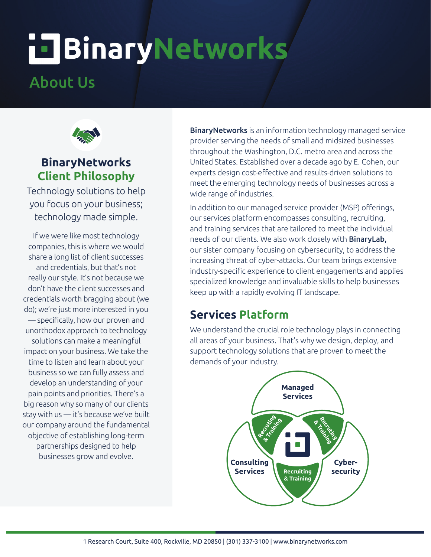# **i TBinaryNetworks**

# About Us



#### **BinaryNetworks Client Philosophy**

Technology solutions to help you focus on your business; technology made simple.

If we were like most technology companies, this is where we would share a long list of client successes and credentials, but that's not really our style. It's not because we don't have the client successes and credentials worth bragging about (we do); we're just more interested in you — specifically, how our proven and unorthodox approach to technology solutions can make a meaningful impact on your business. We take the time to listen and learn about your business so we can fully assess and develop an understanding of your pain points and priorities. There's a big reason why so many of our clients stay with us — it's because we've built our company around the fundamental objective of establishing long-term partnerships designed to help businesses grow and evolve.

**BinaryNetworks** is an information technology managed service provider serving the needs of small and midsized businesses throughout the Washington, D.C. metro area and across the United States. Established over a decade ago by E. Cohen, our experts design cost-effective and results-driven solutions to meet the emerging technology needs of businesses across a wide range of industries.

In addition to our managed service provider (MSP) offerings, our services platform encompasses consulting, recruiting, and training services that are tailored to meet the individual needs of our clients. We also work closely with BinaryLab, our sister company focusing on cybersecurity, to address the increasing threat of cyber-attacks. Our team brings extensive industry-specific experience to client engagements and applies specialized knowledge and invaluable skills to help businesses keep up with a rapidly evolving IT landscape.

#### **Services Platform**

We understand the crucial role technology plays in connecting all areas of your business. That's why we design, deploy, and support technology solutions that are proven to meet the demands of your industry.